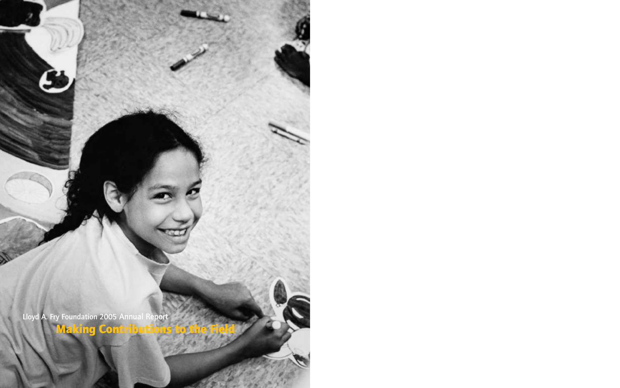Lloyd A. Fry Foundation 2005 Annual Report **Making Contributions to the Field**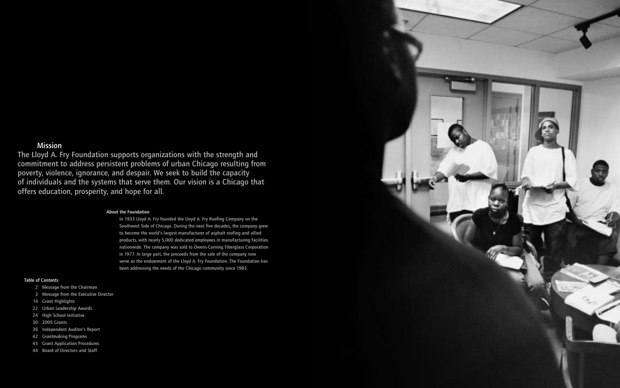#### About the Foundation

In 1933 Lloyd A. Fry founded the Lloyd A. Fry Roofing Company on the Southwest Side of Chicago. During the next five decades, the company grew to become the world's largest manufacturer of asphalt roofing and allied products, with nearly 5,000 dedicated employees in manufacturing facilities nationwide. The company was sold to Owens-Corning Fiberglass Corporation in 1977. In large part, the proceeds from the sale of the company now serve as the endowment of the Lloyd A. Fry Foundation. The Foundation has been addressing the needs of the Chicago community since 1983.

### Table of Contents

- 2 Message from the Chairman
- 3 Message from the Executive Director
- 14 Grant Highlights
- 22 Urban Leadership Awards
- 24 High School Initiative
- 30 2005 Grants
- 36 Independent Auditor's Report
- 42 Grantmaking Programs
- 43 Grant Application Procedures
- 44 Board of Directors and Staff



# Mission

The Lloyd A. Fry Foundation supports organizations with the strength and commitment to address persistent problems of urban Chicago resulting from poverty, violence, ignorance, and despair. We seek to build the capacity of individuals and the systems that serve them. Our vision is a Chicago that offers education, prosperity, and hope for all.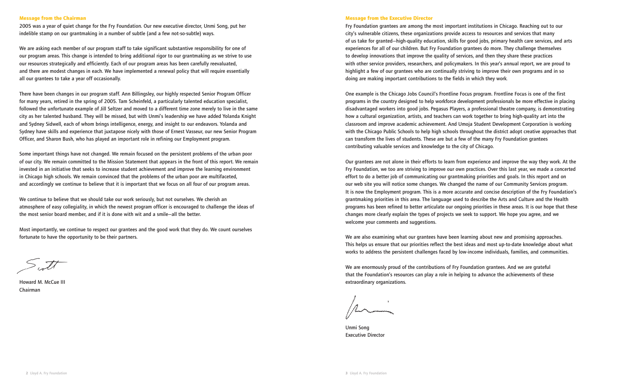#### **Message from the Executive Director**

Fry Foundation grantees are among the most important institutions in Chicago. Reaching out to our city's vulnerable citizens, these organizations provide access to resources and services that many of us take for granted—high-quality education, skills for good jobs, primary health care services, and arts experiences for all of our children. But Fry Foundation grantees do more. They challenge themselves to develop innovations that improve the quality of services, and then they share these practices with other service providers, researchers, and policymakers. In this year's annual report, we are proud to highlight a few of our grantees who are continually striving to improve their own programs and in so doing are making important contributions to the fields in which they work.

One example is the Chicago Jobs Council's Frontline Focus program. Frontline Focus is one of the first programs in the country designed to help workforce development professionals be more effective in placing disadvantaged workers into good jobs. Pegasus Players, a professional theatre company, is demonstrating how a cultural organization, artists, and teachers can work together to bring high-quality art into the classroom and improve academic achievement. And Umoja Student Development Corporation is working with the Chicago Public Schools to help high schools throughout the district adopt creative approaches that can transform the lives of students. These are but a few of the many Fry Foundation grantees contributing valuable services and knowledge to the city of Chicago.

Our grantees are not alone in their efforts to learn from experience and improve the way they work. At the Fry Foundation, we too are striving to improve our own practices. Over this last year, we made a concerted effort to do a better job of communicating our grantmaking priorities and goals. In this report and on our web site you will notice some changes. We changed the name of our Community Services program. It is now the Employment program. This is a more accurate and concise description of the Fry Foundation's grantmaking priorities in this area. The language used to describe the Arts and Culture and the Health programs has been refined to better articulate our ongoing priorities in these areas. It is our hope that these changes more clearly explain the types of projects we seek to support. We hope you agree, and we welcome your comments and suggestions.

We are also examining what our grantees have been learning about new and promising approaches. This helps us ensure that our priorities reflect the best ideas and most up-to-date knowledge about what works to address the persistent challenges faced by low-income individuals, families, and communities.

We are enormously proud of the contributions of Fry Foundation grantees. And we are grateful that the Foundation's resources can play a role in helping to advance the achievements of these extraordinary organizations.

Unmi Song Executive Director

#### **Message from the Chairman**

2005 was a year of quiet change for the Fry Foundation. Our new executive director, Unmi Song, put her indelible stamp on our grantmaking in a number of subtle (and a few not-so-subtle) ways.

We are asking each member of our program staff to take significant substantive responsibility for one of our program areas. This change is intended to bring additional rigor to our grantmaking as we strive to use our resources strategically and efficiently. Each of our program areas has been carefully reevaluated, and there are modest changes in each. We have implemented a renewal policy that will require essentially all our grantees to take a year off occasionally.

There have been changes in our program staff. Ann Billingsley, our highly respected Senior Program Officer for many years, retired in the spring of 2005. Tam Scheinfeld, a particularly talented education specialist, followed the unfortunate example of Jill Seltzer and moved to a different time zone merely to live in the same city as her talented husband. They will be missed, but with Unmi's leadership we have added Yolanda Knight and Sydney Sidwell, each of whom brings intelligence, energy, and insight to our endeavors. Yolanda and Sydney have skills and experience that juxtapose nicely with those of Ernest Vasseur, our new Senior Program Officer, and Sharon Bush, who has played an important role in refining our Employment program.

Some important things have not changed. We remain focused on the persistent problems of the urban poor of our city. We remain committed to the Mission Statement that appears in the front of this report. We remain invested in an initiative that seeks to increase student achievement and improve the learning environment in Chicago high schools. We remain convinced that the problems of the urban poor are multifaceted, and accordingly we continue to believe that it is important that we focus on all four of our program areas.

We continue to believe that we should take our work seriously, but not ourselves. We cherish an atmosphere of easy collegiality, in which the newest program officer is encouraged to challenge the ideas of the most senior board member, and if it is done with wit and a smile—all the better.

Most importantly, we continue to respect our grantees and the good work that they do. We count ourselves fortunate to have the opportunity to be their partners.

Howard M. McCue III Chairman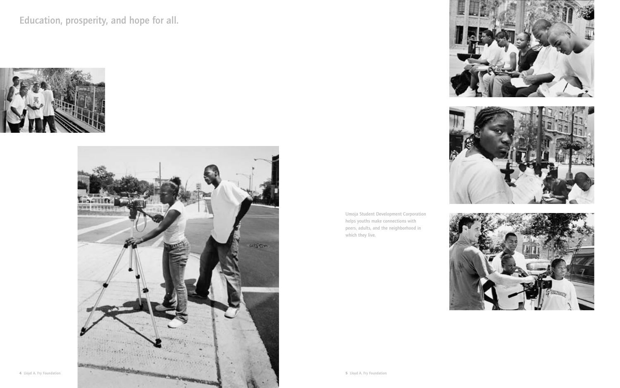

Education, prosperity, and hope for all.



Umoja Student Development Corporation helps youths make connections with peers, adults, and the neighborhood in which they live.







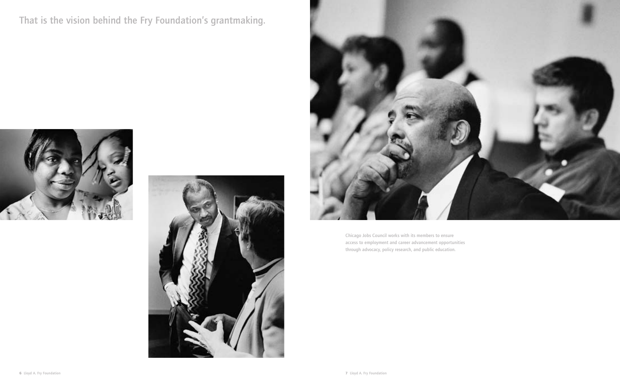That is the vision behind the Fry Foundation's grantmaking.







Chicago Jobs Council works with its members to ensure access to employment and career advancement opportunities through advocacy, policy research, and public education.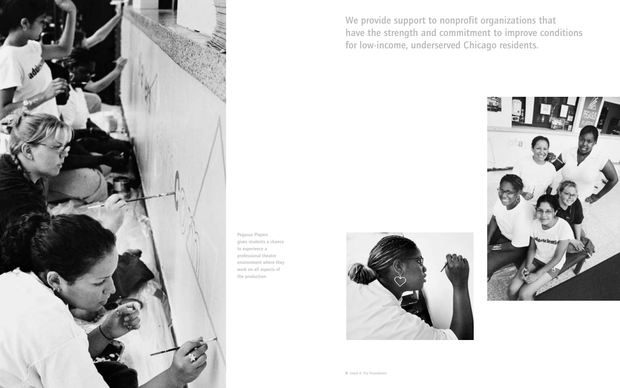

We provide support to nonprofit organizations that have the strength and commitment to improve conditions for low-income, underserved Chicago residents.



Pegasus Players gives students a chance to experience a professional theatre environment where they work on all aspects of the production.

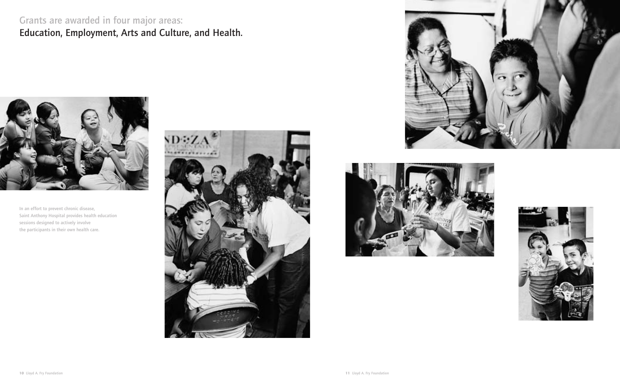

# Grants are awarded in four major areas: Education, Employment, Arts and Culture, and Health.



In an effort to prevent chronic disease, Saint Anthony Hospital provides health education sessions designed to actively involve the participants in their own health care.





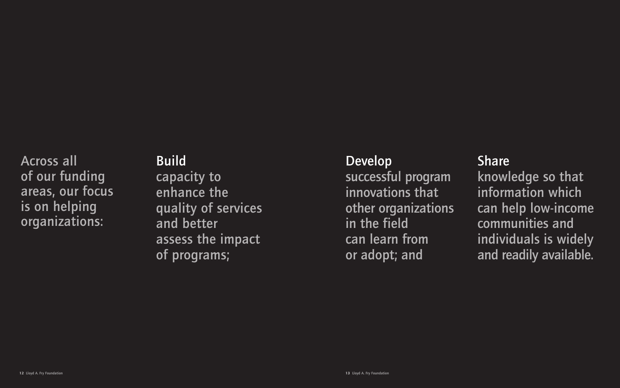Across all of our funding areas, our focus is on helping organizations:

# **Build**

capacity to enhance the quality of services and better assess the impact of programs;

# Develop

**Share** knowledge so that information which can help low-income communities and individuals is widely and readily available.

successful program innovations that other organizations in the field can learn from or adopt; and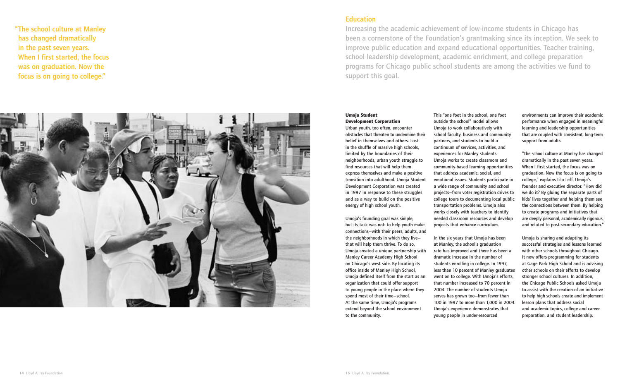#### **Umoja Student Development Corporation**

Urban youth, too often, encounter obstacles that threaten to undermine their belief in themselves and others. Lost in the shuffle of massive high schools, limited by the boundaries of their neighborhoods, urban youth struggle to find resources that will help them express themselves and make a positive transition into adulthood. Umoja Student Development Corporation was created in 1997 in response to these struggles and as a way to build on the positive energy of high school youth.

Umoja's founding goal was simple, but its task was not: to help youth make connections—with their peers, adults, and the neighborhoods in which they live that will help them thrive. To do so, Umoja created a unique partnership with Manley Career Academy High School on Chicago's west side. By locating its office inside of Manley High School, Umoja defined itself from the start as an organization that could offer support to young people in the place where they spend most of their time—school. At the same time, Umoja's programs extend beyond the school environment to the community.

This "one foot in the school, one foot outside the school" model allows Umoja to work collaboratively with school faculty, business and community partners, and students to build a continuum of services, activities, and experiences for Manley students. Umoja works to create classroom and community-based learning opportunities that address academic, social, and emotional issues. Students participate in a wide range of community and school projects—from voter registration drives to college tours to documenting local public transportation problems. Umoja also works closely with teachers to identify needed classroom resources and develop projects that enhance curriculum.

In the six years that Umoja has been at Manley, the school's graduation rate has improved and there has been a dramatic increase in the number of students enrolling in college. In 1997, less than 10 percent of Manley graduates went on to college. With Umoja's efforts, that number increased to 70 percent in 2004. The number of students Umoja serves has grown too—from fewer than 100 in 1997 to more than 1,000 in 2004. Umoja's experience demonstrates that young people in under-resourced

environments can improve their academic performance when engaged in meaningful learning and leadership opportunities that are coupled with consistent, long-term support from adults.

"The school culture at Manley has changed dramatically in the past seven years. When I first started, the focus was on graduation. Now the focus is on going to college," explains Lila Leff, Umoja's founder and executive director. "How did we do it? By gluing the separate parts of kids' lives together and helping them see the connections between them. By helping to create programs and initiatives that are deeply personal, academically rigorous, and related to post-secondary education."

Umoja is sharing and adapting its successful strategies and lessons learned with other schools throughout Chicago. It now offers programming for students at Gage Park High School and is advising other schools on their efforts to develop stronger school cultures. In addition, the Chicago Public Schools asked Umoja to assist with the creation of an initiative to help high schools create and implement lesson plans that address social and academic topics, college and career preparation, and student leadership.

Increasing the academic achievement of low-income students in Chicago has been a cornerstone of the Foundation's grantmaking since its inception. We seek to improve public education and expand educational opportunities. Teacher training, school leadership development, academic enrichment, and college preparation programs for Chicago public school students are among the activities we fund to support this goal.

"The school culture at Manley has changed dramatically in the past seven years. When I first started, the focus was on graduation. Now the focus is on going to college."



# **Education**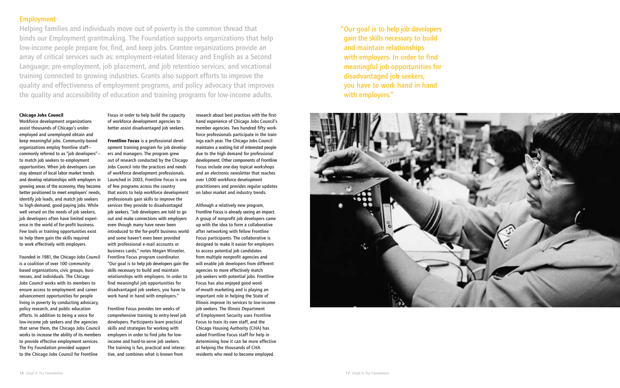# Employment

Helping families and individuals move out of poverty is the common thread that binds our Employment grantmaking. The Foundation supports organizations that help low-income people prepare for, find, and keep jobs. Grantee organizations provide an array of critical services such as: employment-related literacy and English as a Second Language; pre-employment, job placement, and job retention services; and vocational training connected to growing industries. Grants also support efforts to improve the quality and effectiveness of employment programs, and policy advocacy that improves the quality and accessibility of education and training programs for low-income adults.

#### **Chicago Jobs Council**

Workforce development organizations assist thousands of Chicago's underemployed and unemployed obtain and keep meaningful jobs. Community-based organizations employ frontline staff commonly referred to as "job developers" to match job seekers to employment opportunities. When job developers can stay abreast of local labor market trends and develop relationships with employers in growing areas of the economy, they become better positioned to meet employers' needs, identify job leads, and match job seekers to high-demand, good-paying jobs. While well versed on the needs of job seekers, job developers often have limited experience in the world of for-profit business. Few tools or training opportunities exist to help them gain the skills required to work effectively with employers.

Founded in 1981, the Chicago Jobs Council is a coalition of over 100 communitybased organizations, civic groups, businesses, and individuals. The Chicago Jobs Council works with its members to ensure access to employment and career advancement opportunities for people living in poverty by conducting advocacy, policy research, and public education efforts. In addition to being a voice for low-income job seekers and the agencies that serve them, the Chicago Jobs Council works to increase the ability of its members to provide effective employment services. The Fry Foundation provided support to the Chicago Jobs Council for Frontline

Focus in order to help build the capacity of workforce development agencies to better assist disadvantaged job seekers.

**Frontline Focus** is a professional development training program for job developers and managers. The program grew out of research conducted by the Chicago Jobs Council into the practices and needs of workforce development professionals. Launched in 2003, Frontline Focus is one of few programs across the country that exists to help workforce development professionals gain skills to improve the services they provide to disadvantaged job seekers. "Job developers are told to go out and make connections with employers even though many have never been introduced to the for-profit business world and some haven't even been provided with professional e-mail accounts or business cards," notes Megan Winzeler, Frontline Focus program coordinator. "Our goal is to help job developers gain the skills necessary to build and maintain relationships with employers. In order to find meaningful job opportunities for disadvantaged job seekers, you have to work hand in hand with employers."

Frontline Focus provides ten weeks of comprehensive training to entry-level job developers. Participants learn practical skills and strategies for working with employers in order to find jobs for lowincome and hard-to-serve job seekers. The training is fun, practical and interactive, and combines what is known from

research about best practices with the firsthand experience of Chicago Jobs Council's member agencies. Two hundred fifty workforce professionals participate in the trainings each year. The Chicago Jobs Council maintains a waiting list of interested people due to the high demand for professional development. Other components of Frontline Focus include one-day topical workshops and an electronic newsletter that reaches over 1,000 workforce development practitioners and provides regular updates on labor market and industry trends.

Although a relatively new program, Frontline Focus is already seeing an impact. A group of nonprofit job developers came up with the idea to form a collaborative after networking with fellow Frontline Focus participants. The collaborative is designed to make it easier for employers to access potential job candidates from multiple nonprofit agencies and will enable job developers from different agencies to more effectively match job seekers with potential jobs. Frontline Focus has also enjoyed good wordof-mouth marketing and is playing an important role in helping the State of Illinois improve its services to low-income job seekers. The Illinois Department of Employment Security uses Frontline Focus to train its own staff, and the Chicago Housing Authority (CHA) has asked Frontline Focus staff for help in determining how it can be more effective at helping the thousands of CHA residents who need to become employed.

"Our goal is to help job developers gain the skills necessary to build and maintain relationships with employers. In order to find meaningful job opportunities for disadvantaged job seekers, you have to work hand in hand with employers."

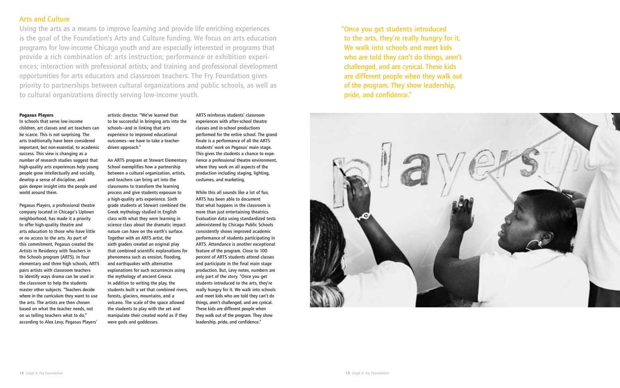#### **Pegasus Players**

In schools that serve low-income children, art classes and art teachers can be scarce. This is not surprising. The arts traditionally have been considered important, but non-essential, to academic success. This view is changing as a number of research studies suggest that high-quality arts experiences help young people grow intellectually and socially, develop a sense of discipline, and gain deeper insight into the people and world around them.

Pegasus Players, a professional theatre company located in Chicago's Uptown neighborhood, has made it a priority to offer high-quality theatre and arts education to those who have little or no access to the arts. As part of this commitment, Pegasus created the Artists in Residency with Teachers in the Schools program (ARTS). In four elementary and three high schools, ARTS pairs artists with classroom teachers to identify ways drama can be used in the classroom to help the students master other subjects. "Teachers decide where in the curriculum they want to use the arts. The artists are then chosen based on what the teacher needs, not on us telling teachers what to do," according to Alex Levy, Pegasus Players'

artistic director. "We've learned that to be successful in bringing arts into the schools—and in linking that arts experience to improved educational outcomes—we have to take a teacherdriven approach."

An ARTS program at Stewart Elementary School exemplifies how a partnership between a cultural organization, artists, and teachers can bring art into the classrooms to transform the learning process and give students exposure to a high-quality arts experience. Sixth grade students at Stewart combined the Greek mythology studied in English class with what they were learning in science class about the dramatic impact nature can have on the earth's surface. Together with an ARTS artist, the sixth graders created an original play that combined scientific explanations for phenomena such as erosion, flooding, and earthquakes with alternative explanations for such occurrences using the mythology of ancient Greece. In addition to writing the play, the students built a set that combined rivers, forests, glaciers, mountains, and a volcano. The scale of the space allowed the students to play with the set and manipulate their created world as if they were gods and goddesses.

ARTS reinforces students' classroom experiences with after-school theatre classes and in-school productions performed for the entire school. The grand finale is a performance of all the ARTS students' work on Pegasus' main stage. This gives the students a chance to experience a professional theatre environment, where they work on all aspects of the production including staging, lighting, costumes, and marketing.

While this all sounds like a lot of fun, ARTS has been able to document that what happens in the classroom is more than just entertaining theatrics. Evaluation data using standardized tests administered by Chicago Public Schools consistently shows improved academic performance of students participating in ARTS. Attendance is another exceptional feature of the program. Close to 100 percent of ARTS students attend classes and participate in the final main stage production. But, Levy notes, numbers are only part of the story. "Once you get students introduced to the arts, they're really hungry for it. We walk into schools and meet kids who are told they can't do things, aren't challenged, and are cynical. These kids are different people when they walk out of the program. They show leadership, pride, and confidence."

# Arts and Culture

Using the arts as a means to improve learning and provide life enriching experiences is the goal of the Foundation's Arts and Culture funding. We focus on arts education programs for low-income Chicago youth and are especially interested in programs that provide a rich combination of: arts instruction; performance or exhibition experiences; interaction with professional artists; and training and professional development opportunities for arts educators and classroom teachers. The Fry Foundation gives priority to partnerships between cultural organizations and public schools, as well as to cultural organizations directly serving low-income youth.

"Once you get students introduced to the arts, they're really hungry for it. We walk into schools and meet kids who are told they can't do things, aren't challenged, and are cynical. These kids are different people when they walk out of the program. They show leadership, pride, and confidence."

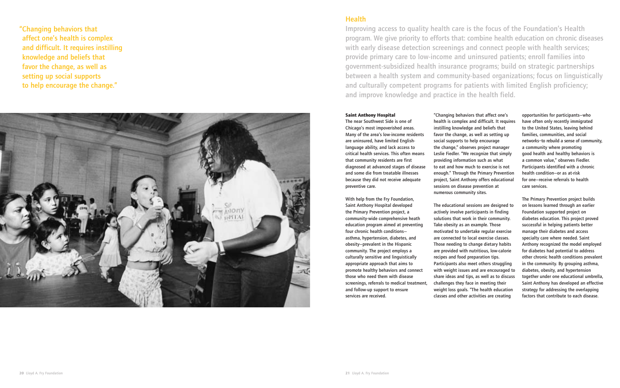#### **Saint Anthony Hospital**

The near Southwest Side is one of Chicago's most impoverished areas. Many of the area's low-income residents are uninsured, have limited Englishlanguage ability, and lack access to critical health services. This often means that community residents are first diagnosed at advanced stages of disease and some die from treatable illnesses because they did not receive adequate preventive care.

With help from the Fry Foundation, Saint Anthony Hospital developed the Primary Prevention project, a community-wide comprehensive heath education program aimed at preventing four chronic health conditions asthma, hypertension, diabetes, and obesity—prevalent in the Hispanic community. The project employs a culturally sensitive and linguistically appropriate approach that aims to promote healthy behaviors and connect those who need them with disease screenings, referrals to medical treatment, and follow-up support to ensure services are received.

"Changing behaviors that affect one's health is complex and difficult. It requires instilling knowledge and beliefs that favor the change, as well as setting up social supports to help encourage the change," observes project manager Leslie Fiedler. "We recognize that simply providing information such as what to eat and how much to exercise is not enough." Through the Primary Prevention project, Saint Anthony offers educational sessions on disease prevention at numerous community sites.

The educational sessions are designed to actively involve participants in finding solutions that work in their community. Take obesity as an example. Those motivated to undertake regular exercise are connected to local exercise classes. Those needing to change dietary habits are provided with nutritious, low-calorie recipes and food preparation tips. Participants also meet others struggling with weight issues and are encouraged to share ideas and tips, as well as to discuss challenges they face in meeting their weight loss goals. "The health education classes and other activities are creating

opportunities for participants—who have often only recently immigrated to the United States, leaving behind families, communities, and social networks–to rebuild a sense of community, a community where promoting good health and healthy behaviors is a common value," observes Fiedler. Participants identified with a chronic health condition—or as at-risk for one—receive referrals to health care services.

The Primary Prevention project builds on lessons learned through an earlier Foundation supported project on diabetes education. This project proved successful in helping patients better manage their diabetes and access specialty care where needed. Saint Anthony recognized the model employed for diabetes had potential to address other chronic health conditions prevalent in the community. By grouping asthma, diabetes, obesity, and hypertension together under one educational umbrella, Saint Anthony has developed an effective strategy for addressing the overlapping factors that contribute to each disease.

Improving access to quality health care is the focus of the Foundation's Health program. We give priority to efforts that: combine health education on chronic diseases with early disease detection screenings and connect people with health services; provide primary care to low-income and uninsured patients; enroll families into government-subsidized health insurance programs; build on strategic partnerships between a health system and community-based organizations; focus on linguistically and culturally competent programs for patients with limited English proficiency; and improve knowledge and practice in the health field.

"Changing behaviors that affect one's health is complex and difficult. It requires instilling knowledge and beliefs that favor the change, as well as setting up social supports to help encourage the change."



# **Health**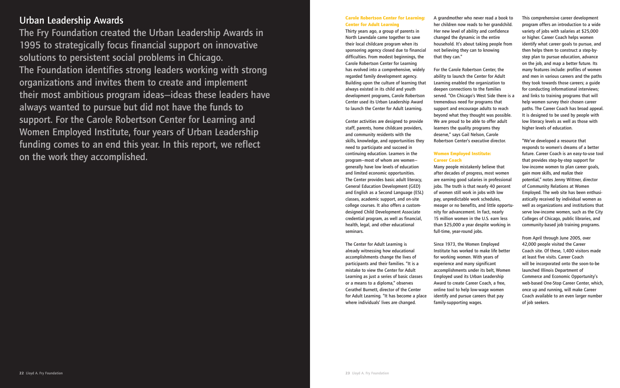# Urban Leadership Awards

The Fry Foundation created the Urban Leadership Awards in 1995 to strategically focus financial support on innovative solutions to persistent social problems in Chicago. The Foundation identifies strong leaders working with strong organizations and invites them to create and implement their most ambitious program ideas—ideas these leaders have always wanted to pursue but did not have the funds to support. For the Carole Robertson Center for Learning and Women Employed Institute, four years of Urban Leadership funding comes to an end this year. In this report, we reflect on the work they accomplished.

#### **Carole Robertson Center for Learning: Center for Adult Learning**

Thirty years ago, a group of parents in North Lawndale came together to save their local childcare program when its sponsoring agency closed due to financial difficulties. From modest beginnings, the Carole Robertson Center for Learning has evolved into a comprehensive, widely regarded family development agency. Building upon the culture of learning that always existed in its child and youth development programs, Carole Robertson Center used its Urban Leadership Award to launch the Center for Adult Learning.

Center activities are designed to provide staff, parents, home childcare providers, and community residents with the skills, knowledge, and opportunities they need to participate and succeed in continuing education. Learners in the program—most of whom are women generally have low levels of education and limited economic opportunities. The Center provides basic adult literacy, General Education Development (GED) and English as a Second Language (ESL) classes, academic support, and on-site college courses. It also offers a customdesigned Child Development Associate credential program, as well as financial, health, legal, and other educational seminars.

The Center for Adult Learning is already witnessing how educational accomplishments change the lives of participants and their families. "It is a mistake to view the Center for Adult Learning as just a series of basic classes or a means to a diploma," observes Cerathel Burnett, director of the Center for Adult Learning. "It has become a place where individuals' lives are changed.

A grandmother who never read a book to her children now reads to her grandchild. Her new level of ability and confidence changed the dynamic in the entire household. It's about taking people from not believing they can to knowing that they can."

For the Carole Robertson Center, the ability to launch the Center for Adult Learning enabled the organization to deepen connections to the families served. "On Chicago's West Side there is a tremendous need for programs that support and encourage adults to reach beyond what they thought was possible. We are proud to be able to offer adult learners the quality programs they deserve," says Gail Nelson, Carole Robertson Center's executive director.

## **Women Employed Institute: Career Coach**

Many people mistakenly believe that after decades of progress, most women are earning good salaries in professional jobs. The truth is that nearly 40 percent of women still work in jobs with low pay, unpredictable work schedules, meager or no benefits, and little opportunity for advancement. In fact, nearly 15 million women in the U.S. earn less than \$25,000 a year despite working in full-time, year-round jobs.

Since 1973, the Women Employed Institute has worked to make life better for working women. With years of experience and many significant accomplishments under its belt, Women Employed used its Urban Leadership Award to create Career Coach, a free, online tool to help low-wage women identify and pursue careers that pay family-supporting wages.

This comprehensive career development program offers an introduction to a wide variety of jobs with salaries at \$25,000 or higher. Career Coach helps women identify what career goals to pursue, and then helps them to construct a step-bystep plan to pursue education, advance on the job, and map a better future. Its many features include: profiles of women and men in various careers and the paths they took towards those careers; a guide for conducting informational interviews; and links to training programs that will help women survey their chosen career paths. The Career Coach has broad appeal. It is designed to be used by people with low literacy levels as well as those with higher levels of education.

"We've developed a resource that responds to women's dreams of a better future. Career Coach is an easy-to-use tool that provides step-by-step support for low-income women to plan career goals, gain more skills, and realize their potential," notes Jenny Wittner, director of Community Relations at Women Employed. The web site has been enthusiastically received by individual women as well as organizations and institutions that serve low-income women, such as the City Colleges of Chicago, public libraries, and community-based job training programs.

From April through June 2005, over 42,000 people visited the Career Coach site. Of these, 1,400 visitors made at least five visits. Career Coach will be incorporated onto the soon-to-be launched Illinois Department of Commerce and Economic Opportunity's web-based One-Stop Career Center, which, once up and running, will make Career Coach available to an even larger number of job seekers.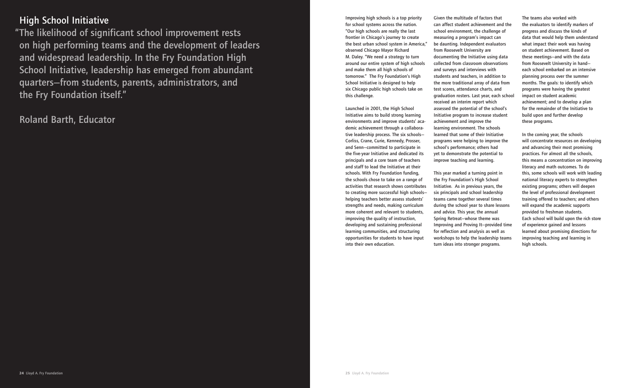# High School Initiative

"The likelihood of significant school improvement rests on high performing teams and the development of leaders and widespread leadership. In the Fry Foundation High School Initiative, leadership has emerged from abundant quarters—from students, parents, administrators, and the Fry Foundation itself."

Roland Barth, Educator

Improving high schools is a top priority for school systems across the nation. "Our high schools are really the last frontier in Chicago's journey to create the best urban school system in America," observed Chicago Mayor Richard M. Daley. "We need a strategy to turn around our entire system of high schools and make them all high schools of tomorrow." The Fry Foundation's High School Initiative is designed to help six Chicago public high schools take on this challenge.

Launched in 2001, the High School Initiative aims to build strong learning environments and improve students' academic achievement through a collaborative leadership process. The six schools— Corliss, Crane, Curie, Kennedy, Prosser, and Senn—committed to participate in the five-year Initiative and dedicated its principals and a core team of teachers and staff to lead the Initiative at their schools. With Fry Foundation funding, the schools chose to take on a range of activities that research shows contributes to creating more successful high schools helping teachers better assess students' strengths and needs, making curriculum more coherent and relevant to students, improving the quality of instruction, developing and sustaining professional learning communities, and structuring opportunities for students to have input into their own education.

Given the multitude of factors that can affect student achievement and the school environment, the challenge of measuring a program's impact can be daunting. Independent evaluators from Roosevelt University are documenting the Initiative using data collected from classroom observations and surveys and interviews with students and teachers, in addition to the more traditional array of data from test scores, attendance charts, and graduation rosters. Last year, each school received an interim report which assessed the potential of the school's Initiative program to increase student achievement and improve the learning environment. The schools learned that some of their Initiative programs were helping to improve the school's performance; others had yet to demonstrate the potential to improve teaching and learning.

This year marked a turning point in the Fry Foundation's High School Initiative. As in previous years, the six principals and school leadership teams came together several times during the school year to share lessons and advice. This year, the annual Spring Retreat—whose theme was Improving and Proving It—provided time for reflection and analysis as well as workshops to help the leadership teams turn ideas into stronger programs.

The teams also worked with the evaluators to identify markers of progress and discuss the kinds of data that would help them understand what impact their work was having on student achievement. Based on these meetings—and with the data from Roosevelt University in hand each school embarked on an intensive planning process over the summer months. The goals: to identify which programs were having the greatest impact on student academic achievement; and to develop a plan for the remainder of the Initiative to build upon and further develop these programs.

In the coming year, the schools will concentrate resources on developing and advancing their most promising practices. For almost all the schools, this means a concentration on improving literacy and math outcomes. To do this, some schools will work with leading national literacy experts to strengthen existing programs; others will deepen the level of professional development training offered to teachers; and others will expand the academic supports provided to freshman students. Each school will build upon the rich store of experience gained and lessons learned about promising directions for improving teaching and learning in high schools.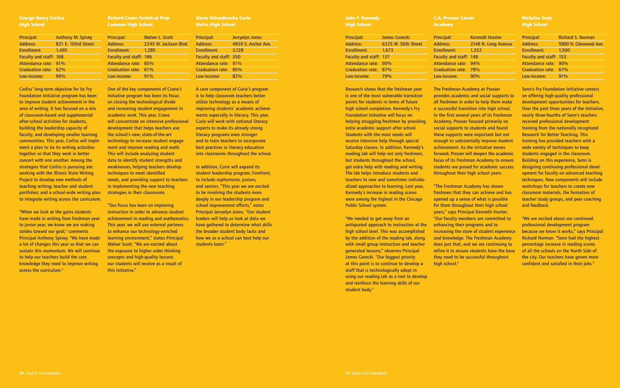#### **George Henry Corliss High School**

| Principal:              | <b>Anthony M. Spivey</b> |
|-------------------------|--------------------------|
| <b>Address:</b>         | 821 E. 103rd Street      |
| <b>Enrollment:</b>      | 1.495                    |
| Faculty and staff: 168  |                          |
| Attendance rate: 91%    |                          |
| <b>Graduation rate:</b> | 62%                      |
| Low-income:             | 96%                      |

Corliss' long-term objective for its Fry Foundation Initiative program has been to improve student achievement in the area of writing. It has focused on a mix of classroom-based and supplemental after-school activities for students, building the leadership capacity of faculty, and developing smaller learning communities. This year, Corliss will implement a plan to tie its writing activities together so that they work in better concert with one another. Among the strategies that Corliss is pursuing are: working with the Illinois State Writing Project to develop new methods of teaching writing; teacher and student portfolios; and a school-wide writing plan to integrate writing across the curriculum.

"When we look at the gains students have made in writing from freshman year to junior year, we know we are making strides toward our goal," comments Principal Anthony Spivey. "We have made a lot of changes this year so that we can sustain this momentum. We will continue to help our teachers build the core knowledge they need to improve writing across the curriculum."

**Richard Crane Technical Prep Common High School**

| Principal:                    | <b>Melver L. Scott</b> |   |
|-------------------------------|------------------------|---|
| <b>Address:</b>               | 2245 W. Jackson Blvd.  | A |
| Enrollment:                   | 1.285                  | F |
| <b>Faculty and staff: 186</b> |                        | F |
| Attendance rate: 85%          |                        | A |
| Graduation rate: 61%          |                        | C |
| Low-income:                   | 91%                    |   |
|                               |                        |   |

One of the key components of Crane's Initiative program has been its focus on closing the technological divide and increasing student engagement in academic work. This year, Crane will concentrate on intensive professional development that helps teachers use the school's new, state-of-the-art technology to increase student engagement and improve reading and math. This will include analyzing student data to identify student strengths and weaknesses, helping teachers develop techniques to meet identified needs, and providing support to teachers in implementing the new teaching strategies in their classrooms.

"Our focus has been on improving instruction in order to advance student achievement in reading and mathematics. This year, we will use external partners to enhance our technology-enriched learning environment," states Principal Melver Scott. "We are excited about the exposure to higher order thinking concepts and high-quality lessons our students will receive as a result of this Initiative."

Principal: Kenneth Hunter Address: 2148 N. Long Avenue

| : Prosser        |
|------------------|
| cial supports to |
| elp them make    |
| o high school.   |
| f its Freshman   |
| primarily on     |
| s and found      |
| rtant but not    |
| nprove student   |
| tive moves       |
| n the academic   |
| demy to ensure   |
| ademic success   |
| pol years.       |
|                  |

**Marie Sklowdowska Curie Metro High School** 

| <b>Principal:</b>             | Jerryelyn Jones     |
|-------------------------------|---------------------|
| <b>Address:</b>               | 4959 S. Archer Ave. |
| <b>Enrollment:</b>            | 3.128               |
| <b>Faculty and staff: 350</b> |                     |
| Attendance rate:              | 91%                 |
| <b>Graduation rate:</b>       | 85%                 |
| Low-income:                   | 82%                 |
|                               |                     |

"The Freshman Academy has shown freshmen that they can achieve and has opened up a sense of what is possible for them throughout their high school years," says Principal Kenneth Hunter. "Our faculty members are committed to enhancing their programs and to increasing the store of student experience and knowledge. The Freshman Academy does just that, and we are continuing to refine it to ensure students have the base they need to be successful throughout high school."

A core component of Curie's program is to help classroom teachers better utilize technology as a means of improving students' academic achievements especially in literacy. This year, Curie will work with national literacy experts to make its already strong literacy programs even stronger and to train teachers to incorporate best practices in literacy education into classrooms throughout the school.

In addition, Curie will expand its student leadership program, Forefront, to include sophomores, juniors, and seniors. "This year we are excited to be involving the students more deeply in our leadership program and school improvement efforts," notes Principal Jerryelyn Jones. "Our student leaders will help us look at data we have gathered to determine what skills the broader student body lacks and how we as a school can best help our students learn."

| John F. Kennedy    |  |
|--------------------|--|
| <b>High School</b> |  |
|                    |  |

| Principal:                    | <b>James Gorecki</b> |
|-------------------------------|----------------------|
| <b>Address:</b>               | 6325 W. 56th Street  |
| Enrollment:                   | 1.673                |
| <b>Faculty and staff: 137</b> |                      |
| Attendance rate: 90%          |                      |
| <b>Graduation rate:</b>       | 87%                  |
| Low-income:                   | 79%                  |

Research shows that the freshman year is one of the most vulnerable transition points for students in terms of future high school completion. Kennedy's Fry Foundation Initiative will focus on helping struggling freshmen by providing extra academic support after school. Students with the most needs will receive intensive help through special Saturday classes. In addition, Kennedy's reading lab will help not only freshmen, but students throughout the school, get extra help with reading and writing. The lab helps introduce students and teachers to new and sometimes individualized approaches to learning. Last year, Kennedy's increase in reading scores were among the highest in the Chicago Public School system.

"We needed to get away from an antiquated approach to instruction at the high school level. This was accomplished by the addition of the reading lab, along with small group instruction and teacher generated lessons," observes Principal James Gorecki. "Our biggest priority at this point is to continue to develop a staff that is technologically adept in using our reading lab as a tool to develop and reinforce the learning skills of our student body."

The Freshman Academy at provides academic and so all freshmen in order to he a successful transition into In the first several years of Academy, Prosser focused social supports to student these supports were import enough to substantially in achievement. As the Initia forward, Prosser will deepe focus of its Freshman Aca students are poised for ac throughout their high scho

**C.A. Prosser Career** 

**Academy** 

Enrollment: 1,352 Faculty and staff: 148 Attendance rate: 94% Graduation rate: 78% Low-income: 90%

#### **Nicholas Senn High School**

| Principal:                    | <b>Richard S. Norman</b> |
|-------------------------------|--------------------------|
| <b>Address:</b>               | 5900 N. Glenwood Ave.    |
| <b>Enrollment:</b>            | 1,500                    |
| <b>Faculty and staff: 153</b> |                          |
| Attendance rate: 90%          |                          |
| <b>Graduation rate:</b>       | 67%                      |
| Low-income:                   | 91%                      |

Senn's Fry Foundation Initiative centers on offering high-quality professional development opportunities for teachers. Over the past three years of the Initiative, nearly three-fourths of Senn's teachers received professional development training from the nationally recognized Research for Better Teaching. This training has provided teachers with a wide variety of techniques to keep students engaged in the classroom. Building on this experience, Senn is designing continuing professional development for faculty on advanced teaching techniques. New components will include workshops for teachers to create new classroom materials, the formation of teacher study groups, and peer coaching and feedback.

"We are excited about our continued professional development program because we know it works," says Principal Richard Norman. "Senn had the highest percentage increase in reading scores of all the schools on the North Side of the city. Our teachers have grown more confident and satisfied in their jobs."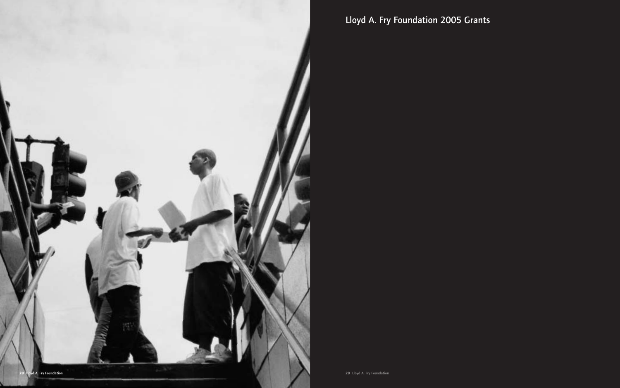

Lloyd A. Fry Foundation 2005 Grants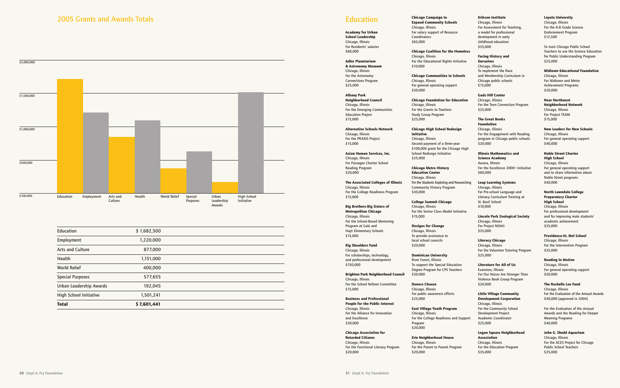**Academy for Urban School Leadership** Chicago, Illinois For Residents' salaries \$60,000

**Adler Planetarium & Astronomy Museum**  Chicago, Illinois For the Astronomy Connections Program \$25,000

**Albany Park Neighborhood Council**  Chicago, Illinois For the Emerging Communities Education Project \$15,000

**Alternative Schools Network**  Chicago, Illinois For the PRAXIS Project \$15,000

**Asian Human Services, Inc.** Chicago, Illinois For Passages Charter School Reading Program \$20,000

**The Associated Colleges of Illinois** Chicago, Illinois For the College Readiness Program \$15,000

**Big Brothers-Big Sisters of Metropolitan Chicago**  Chicago, Illinois For the School-Based Mentoring Program at Gale and Hayt Elementary Schools \$15,000

**Big Shoulders Fund**  Chicago, Illinois For scholarships, technology, and professional development \$150,000

**Brighton Park Neighborhood Council**  Chicago, Illinois For the School Reform Committee \$15,000

**Business and Professional People for the Public Interest**  Chicago, Illinois For the Alliance for Innovation and Excellence \$30,000

**Chicago Association for Retarded Citizens**  Chicago, Illinois For the Functional Literacy Program \$20,000

**Chicago Campaign to Expand Community Schools**  Chicago, Illinois For salary support of Resource Coordinators \$65,000

**Chicago Coalition for the Homeless** Chicago, Illinois For the Educational Rights Initiative \$10,000

**Chicago Communities in Schools** Chicago, Illinois For general operating support \$30,000

**Chicago Foundation for Education** Chicago, Illinois For the Grants to Teachers Study Group Program \$25,000

**Chicago High School Redesign Initiative** Chicago, Illinois Second payment of a three-year \$100,000 grant for the Chicago High School Redesign Initiative \$25,000

**Chicago Metro History Education Center**  Chicago, Illinois For the Students Exploring and Researching Community History Program \$30,000

**College Summit Chicago** Chicago, Illinois For the Senior Class Model Initiative \$15,000

**Designs for Change** Chicago, Illinois To provide assistance to local school councils \$20,000

**Dominican University** River Forest, Illinois

To support the Special Education Degree Program for CPS Teachers \$30,000

**Donors Choose**  Chicago, Illinois For public awareness efforts \$25,000

**East Village Youth Program** Chicago, Illinois For the College Readiness and Support Program \$20,000

**Erie Neighborhood House**  Chicago, Illinois For the Parent to Parent Program \$20,000

**Erikson Institute** Chicago, Illinois For Assessment for Teaching, a model for professional development in early childhood education \$35,000

#### **Facing History and Ourselves**



Chicago, Illinois To implement the Race and Membership Curriculum in Chicago public schools \$15,000

**Gads Hill Center**

Chicago, Illinois For the Teen Connection Program \$25,000

#### **The Great Books**

**Foundation** Chicago, Illinois For the Engagement with Reading program in Chicago public schools \$20,000

#### **Illinois Mathematics and Science Academy**

Aurora, Illinois For the Excellence 2000+ Initiative \$60,000

#### **Leap Learning Systems**

Chicago, Illinois For Pre-school Language and Literacy Curriculum Training at St. Basil School \$10,000

#### **Lincoln Park Zoological Society**

Chicago, Illinois For Project NOAH \$35,000

#### **Literacy Chicago**

Chicago, Illinois For the Volunteer Tutoring Program \$25,000

#### **Literature for All of Us**

Evanston, Illinois For Our Voices Are Stronger Than Violence Book Group Program \$20,000

#### **Little Village Community Development Corporation**

Chicago, Illinois For the Community School Development Project Academic Coordinator \$25,000

#### **Logan Square Neighborhood Association**

Chicago, Illinois For the Education Program \$35,000

#### **Loyola University**  Chicago, Illinois For the 6-8 Grade Science Endorsement Program

\$12,500

To train Chicago Public School Teachers to use the Science Education for Public Understanding Program \$25,000

#### **Midtown Educational Foundation**

Chicago, Illinois For Midtown and Metro Achievement Programs \$20,000

#### **Near Northwest Neighborhood Network**  Chicago, Illinois For Project TEAM \$15,000

**New Leaders for New Schools**  Chicago, Illinois For general operating support \$40,000

#### **Noble Street Charter High School**

Chicago, Illinois For general operating support and to share information about Noble Street programs \$40,000

#### **North Lawndale College Preparatory Charter High School**

Chicago, Illinois For professional development and for improving male students' academic achievement \$35,000

# **Providence-St. Mel School**  Chicago, Illinois

For the Intervention Program \$35,000

# **Reading In Motion**

Chicago, Illinois For general operating support \$50,000

## **The Rochelle Lee Fund**

Chicago, Illinois For the Evaluation of the Annual Awards \$40,000 (approved in 2004)

For the Evaluation of the Annual Awards and the Reading for Deeper Meaning Programs \$40,000

#### **John G. Shedd Aquarium**

Chicago, Illinois For the ACES Project for Chicago Public School Teachers \$25,000

| Education                     | \$1,682,500 |  |
|-------------------------------|-------------|--|
| Employment                    | 1,220,000   |  |
| <b>Arts and Culture</b>       | 877,000     |  |
| Health                        | 1,151,000   |  |
| <b>World Relief</b>           | 400,000     |  |
| <b>Special Purposes</b>       | 577,655     |  |
| Urban Leadership Awards       | 192,045     |  |
| <b>High School Initiative</b> | 1,501,241   |  |
| <b>Total</b>                  | \$7,601,441 |  |
|                               |             |  |

# **Education**

# 2005 Grants and Awards Totals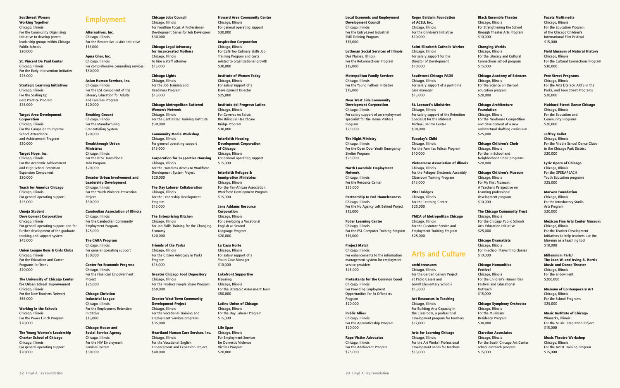**Local Economic and Employment Development Council** 

Chicago, Illinois For the Entry-Level Industrial Skill Training Program \$15,000

**Lutheran Social Services of Illinois** Des Plaines, Illinois For the ReConnections Program \$15,000

**Metropolitan Family Services**  Chicago, Illinois For the Young Fathers Initiative \$15,000

**Near West Side Community Development Corporation**  Chicago, Illinois For salary support of an employment specialist for the Home Visitors Program \$25,000

**The Night Ministry**  Chicago, Illinois For the Open Door Youth Emergency Shelter Program \$25,000

**North Lawndale Employment Network** Chicago, Illinois For the Resource Center \$25,000

**Partnership to End Homelessness** Chicago, Illinois For the No Agency Left Behind Project \$15,000

**Poder Learning Center**  Chicago, Illinois For the ESL Computer Training Program \$15,000

**Project Match**  Chicago, Illinois For enhancements to the information management system for employment service providers \$45,000

**Protestants for the Common Good** Chicago, Illinois For Providing Employment Opportunities for Ex-Offenders Program \$20,000

**Public Allies**  Chicago, Illinois For the Apprenticeship Program \$20,000

**Rape Victim Advocates**  Chicago, Illinois For the Adolescent Program \$25,000

**Roger Baldwin Foundation of ACLU, Inc.**  Chicago, Illinois For the Children's Initiative \$10,000

**Saint Elizabeth Catholic Worker**  Chicago, Illinois For salary support for the Director of Development \$10,000

**Southwest Chicago PADS** Chicago, Illinois For salary support of a part-time case manager \$15,000

**St. Leonard's Ministries**  Chicago, Illinois For salary support of the Retention Specialist for the Midwest Michael Barlow Center \$30,000

**Tuesday's Child**  Chicago, Illinois For the Familias Felices Program \$10,000

**Vietnamese Association of Illinois** Chicago, Illinois For the Refugee Electronic Assembly Classroom Training Program \$15,000

**Vital Bridges**  Chicago, Illinois For the Learning Center \$25,000

**YMCA of Metropolitan Chicago** Chicago, Illinois For the Customer Service and Employment Training Program \$25,000

Arts and Culture

**archi-treasures**  Chicago, Illinois For the Garden Gallery Project at Pablo Casals and Lowell Elementary Schools \$15,000

**Art Resources in Teaching** Chicago, Illinois For Building Arts Capacity in the Classroom, a professional development program for teachers \$12,000

**Arts for Learning Chicago**  Chicago, Illinois For the Art Works! Professional development series for teachers \$15,000

#### **Black Ensemble Theater**

Chicago, Illinois For Strengthening the School through Theater Arts Program \$10,000

#### **Changing Worlds**

Chicago, Illinois For the Literacy and Cultural Connections school program \$15,000

#### **Chicago Academy of Sciences**

Chicago, Illinois For the Science on the Go! education program \$20,000

#### **Chicago Architecture**

**Foundation**  Chicago, Illinois For the Newhouse Competition and development of a new architectural drafting curriculum \$25,000

#### **Chicago Children's Choir**

Chicago, Illinois For the In-School and Neighborhood Choir programs \$20,000

#### **Chicago Children's Museum**

Chicago, Illinois For My First Museum: A Teacher's Perspective on Learning professional development program \$10,000

#### **The Chicago Community Trust**  Chicago, Illinois For the Chicago Public Schools

Arts Education Initiative \$25,000

#### **Chicago Dramatists**

Chicago, Illinois For In-School Playwriting classes \$10,000

#### **Chicago Humanities**

**Festival**  Chicago, Illinois For the Children's Humanities Festival and Educational Outreach \$15,000

#### **Chicago Symphony Orchestra**

Chicago, Illinois For the Musicians Residency Program \$30,000

#### **Claretian Associates**

Chicago, Illinois For the South Chicago Art Center school outreach program \$15,000

#### **Facets Multimedia**

Chicago, Illinois For the Education Program of the Chicago Children's International Film Festival \$15,000

### **Field Museum of Natural History**

Chicago, Illinois For the Cultural Connections Program \$30,000

#### **Free Street Programs**

Chicago, Illinois For the Arts Literacy, ARTS in the Parks, and Teen Street Programs \$20,000

#### **Hubbard Street Dance Chicago**

Chicago, Illinois For the Education and Community Programs \$20,000

#### **Joffrey Ballet**

Chicago, Illinois For the Middle School Dance Clubs in the Chicago Park District \$20,000

#### **Lyric Opera of Chicago**

Chicago, Illinois For the OPERAREACH Youth Education programs \$25,000

#### **Marwen Foundation**

Chicago, Illinois For the Introductory Studio Arts Program \$20,000

#### **Mexican Fine Arts Center Museum**

Chicago, Illinois For the Teacher Development Initiatives to help teachers use the Museum as a teaching tool \$10,000

#### **Millennium Park/**

**The Joan W. and Irving B. Harris Music and Dance Theater** Chicago, Illinois For the endowment \$200,000

#### **Museum of Contemporary Art**

Chicago, Illinois For the School Programs \$25,000

#### **Music Institute of Chicago**

Winnetka, Illinois For the Music Integration Project \$15,000

### **Music Theatre Workshop**

Chicago, Illinois For the Artist Training Program \$15,000

#### **Southwest Women Working Together** Chicago, Illinois For the Community Organizing Initiative to develop parent leadership groups within Chicago Public Schools

\$20,000

**St. Vincent De Paul Center**  Chicago, Illinois For the Early Intervention Initiative \$25,000

#### **Strategic Learning Initiatives**  Chicago, Illinois For the Scaling Up Best Practice Program \$25,000

**Target Area Development Corporation**  Chicago, Illinois For the Campaign to Improve School Attendance and Achievement Program \$20,000

#### **Target Hope, Inc.** Chicago, Illinois For the Academic Achievement and High School Retention Expansion Component \$20,000

**Teach for America Chicago** Chicago, Illinois For general operating support \$25,000

#### **Umoja Student**

**Development Corporation** Chicago, Illinois For general operating support and for further development of the graduate tracking and support system \$45,000

#### **Union League Boys & Girls Clubs**  Chicago, Illinois For the Education and Career

Programs for Teens \$20,000

#### **The University of Chicago Center for Urban School Improvement** Chicago, Illinois For the New Teachers Network

\$65,000 **Working in the Schools** 

Chicago, Illinois For the Power Lunch Program \$20,000

**The Young Women's Leadership Charter School of Chicago** Chicago, Illinois For general operating support \$20,000

# Employment

**Alternatives, Inc.**  Chicago, Illinois For the Restorative Justice Initiative \$15,000

**Apna Ghar, Inc.** Chicago, Illinois For comprehensive counseling services \$30,000

**Asian Human Services, Inc.**  Chicago, Illinois For the ESL component of the Literacy Education for Adults and Families Program \$20,000

**Breaking Ground** Chicago, Illinois For the Manufacturing Credentialing System \$20,000

#### **Breakthrough Urban Ministries**  Chicago, Illinois For the BEST Transitional Jobs Program \$20,000

**Broader Urban Involvement and Leadership Development**  Chicago, Illinois For the Youth Violence Prevention Project \$30,000

#### **Cambodian Association of Illinois**  Chicago, Illinois For the Cambodian Community Employment Program \$25,000

**The CARA Program**  Chicago, Illinois For general operating support \$30,000

**Center for Economic Progress**  Chicago, Illinois For the Financial Empowerment Project \$25,000

#### **Chicago Christian Industrial League** Chicago, Illinois For the Employment Retention Initiative \$15,000

**Chicago House and Social Service Agency**  Chicago, Illinois For the HIV Employment Services System \$30,000

# **Chicago Jobs Council**

Chicago, Illinois For Frontline Focus: A Professional Development Series for Job Developers \$30,000

**Chicago Legal Advocacy for Incarcerated Mothers**  Chicago, Illinois To hire a staff attorney

\$15,000

**Chicago Lights**  Chicago, Illinois For the Job Training and Readiness Program \$15,000

**Chicago Metropolitan Battered Women's Network**  Chicago, Illinois For the Centralized Training Institute \$30,000

**Community Media Workshop** Chicago, Illinois For general operating support \$15,000

**Corporation for Supportive Housing**  Chicago, Illinois For the Homeless Access to Workforce Development System Project \$20,000

**The Day Laborer Collaboration**  Chicago, Illinois For the Leadership Development Program \$15,000

**The Enterprising Kitchen** Chicago, Illinois For Job Skills Training for the Changing Economy \$20,000

#### **Friends of the Parks** Chicago, Illinois For the Citizen Advocacy in Parks

Program \$15,000 **Greater Chicago Food Depository** 

Chicago, Illinois For the Produce People Share Program \$50,000

**Greater West Town Community Development Project**  Chicago, Illinois For the Vocational Training and Employment Services programs \$35,000

**Heartland Human Care Services, Inc.** Chicago, Illinois For the Vocational English Enhancement and Expansion Project \$40,000

**Howard Area Community Center** 

Chicago, Illinois For general operating support \$30,000

#### **Inspiration Corporation**

Chicago, Illinois For Café Too Culinary Skills Job Training Program and costs related to organizational growth \$30,000

**Institute of Women Today**  Chicago, Illinois For salary support of a Development Director \$25,000

**Instituto del Progreso Latino**  Chicago, Illinois For Carreras en Salud: the Bilingual Healthcare Bridge Program \$30,000

**Interfaith Housing Development Corporation of Chicago** Chicago, Illinois For general operating support \$15,000

**Interfaith Refugee & Immigration Ministries**  Chicago, Illinois For the Pan-African Association Workforce Development Program \$15,000

**Jane Addams Resource Corporation** Chicago, Illinois For developing a Vocational English as Second Language Program \$20,000

**La Casa Norte** Chicago, Illinois For salary support of a Youth Case Manager \$10,000

**Lakefront Supportive Housing**  Chicago, Illinois For the Strategic Assessment Team \$50,000

**Latino Union of Chicago** Chicago, Illinois For the Day Laborer Program \$15,000

**Life Span**  Chicago, Illinois For Employment Services for Domestic Violence Victims Program \$20,000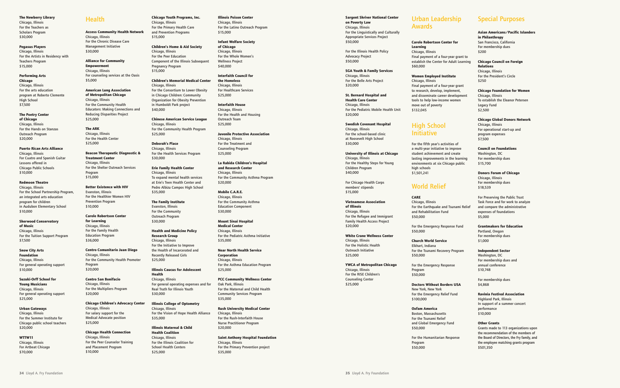**The Newberry Library** 

# Chicago, Illinois For the Teachers as Scholars Program \$30,000

**Pegasus Players** Chicago, Illinois For the Artists in Residency with Teachers Program \$15,000

#### **Performing Arts**

**Chicago** Chicago, Illinois<br>For the arts education<br>program at Roberto Clemente High School \$7,500

# **The Poetry Center of Chicago**

Chicago, Illinois For the Hands on Stanzas Outreach Program \$20,000

#### **Puerto Rican Arts Alliance**

Chicago, Illinois For Cuatro and Spanish Guitar Lessons offered in Chicago Public Schools \$10,000

#### **Redmoon Theatre**

Chicago, Illinois For the School Partnership Program, an integrated arts education program for children in Audubon Elementary School \$10,000

#### **Alliance for Community Empowerment** Chicago, Illinois For counseling services at the Oasis  $$5,000$

#### **Sherwood Conservatory**

**of Music** Chicago, Illinois For the Tuition Support Program \$7,500

#### **Sno w City Arts**

**Foundation** Chicago, Illinois For general operating support \$10,000

#### **Suzuki-Orff School for Young Musicians**  Chicago, Illinois For general operating support

\$25,000 **Urban Gateways**

## Chicago, Illinois

For the Summer Institute for Chicago public school teachers \$20,000

#### **WTTW11**

Chicago, Illinois For Artbeat Chicago \$70,000

## **Health**

**Access Community Health Network** Chicago, Illinois For the Chronic Disease Care Management Initiative \$30,000

**American Lung Association of Metropolitan Chicago** Chicago, Illinois For the Community Health Educators: Making Connections and Reducing Disparities Project \$25,000

# **The ARK**  Chicago, Illinois<br>For the Health Center \$25,000

**Beacon Therapeutic Diagnostic & Treatment Center** Chicago, Illinois For the Shelter Outreach Services Program \$15,000

#### **Better Existence with HIV**  Evanston, Illinois For the Healthier Women HIV Prevention Program \$10,000

#### **Carole Robertson Center for Learning**

Chicago, Illinois For the Family Health Education Program \$36,000

Chicago, Illinois<br>For Healthcare Services \$25,000

#### **Centro Comunitario Juan Diego** Chicago, Illinois For the Community Health Promoter Program \$20,000

**Centro San Bonifacio**  Chicago, Illinois For the Multipliers Program \$20,000

# **Chicago Children's Advocacy Center**

Chicago, Illinois For salary support for the Medical Advocate position \$25,000

#### **Chicago Health Connection**  Chicago, Illinois For the Peer Counselor Training and Placement Program \$10,000

**Chicago Youth Programs, Inc.** Chicago, Illinois

# For the Primary Health Care and Prevention Programs \$15,000

**Children's Home & Aid Society** Chicago, Illinois For the Peer Education Component of the Illinois Subsequent Pregnancy Program

### \$15,000 **Children's Memorial Medical Center** Chicago, Illinois For the Consortium to Lower Obesity in Chicago Children: Community Organization for Obesity Prevention in Humboldt Park project

\$40,000 **Chinese American Service League** Chicago, Illinois For the Community Health Program \$25,000

#### **Deborah's Place**  Chicago, Illinois For the Health Services Program \$30,000

**Erie Family Health Center** Chicago, Illinois To expand mental health services at Erie's Teen Health Center and Pedro Albizu Campos High School \$35,000

Chicago, Illinois<br>Final payment of a four-year grant to establish the Center for Adult Learning \$60,000

#### **The Family Institute**  Evanston, Illinois For the Community Outreach Program \$30,000

# High School **Initiative**

**Health and Medicine Policy Research Group**  Chicago, Illinois For the Initiativ e to Improve the Health of Incarcerated and Recently Released Girls

For the fifth year's activities of a multi-year initiativ e to improve student achievement and create lasting improvements in the learning environments at six Chicago public high schools \$1,501,241

\$25,000

# **Illinois Caucus for Adolescent**

**Health** Chicago, Illinois For general operating expenses and for Real Truth for Illinois Youth \$30,000

## **Illinois College of Optometry**

Chicago, Illinois For the Vision of Hope Health Alliance \$35,000

# **Illinois Maternal & Child Health Coalition** Chicago, Illinois

For the Illinois Coalition for School Health Centers \$25,000

**Illinois Poison Center** Chicago, Illinois<br>For the Latino Outreach Program \$15,000

# **Infant Welfare Society**

**of Chicago** Chicago, Illinois For the Whole Women's Wellness Project \$40,000

# **Interfaith Council for the Homeless**

### **Interfaith House** Chicago, Illinois For the Health and Housing Outreach Team \$25,000

**Juvenile Protective Association** Chicago, Illinois For the Treatment and Counseling Program \$25,000

#### **La Rabida Children's Hospital and Research Center**  Chicago, Illinois For the Community Asthma Program \$20,000

**Mobile C.A.R.E.**  Chicago, Illinois For the Community Asthma Education Component \$30,000

#### **Mount Sinai Hospital Medical Center**  Chicago, Illinois For the Pediatric Asthma Initiative \$35,000

**Near North Health Service Corporation** Chicago, Illinois For the Asthma Education Program \$25,000

#### **PCC Community Wellness Center** Oak Park, Illinois For the Maternal and Child Health Community Services Program \$35,000

**Rush University Medical Center** Chicago, Illinois

#### For the Rush-Interfaith House Nurse Practitioner Program

\$20,000

#### **Saint Anthony Hospital Foundation** Chicago, Illinois For the Primary Prevention project \$35,000

# **Sargent Shriver National Center on Poverty Law** Chicago, Illinois

For the Linguistically and Culturally Appropriate Services Project \$50,000

For the Illinois Health Policy Advocacy Project \$50,000

#### **SGA Youth & Family Services**  Chicago, Illinois For the Belle Arts Project \$20,000

**St. Bernard Hospital and Health Care Center**  Chicago, Illinois For the Pediatric Mobile Health Unit \$20,000

#### **Swedish Covenant Hospital** Chicago, Illinois For the school-based clinic

at Roosevelt High School

\$30,000 **University of Illinois at Chicago** Chicago, Illinois For the Healthy Steps for Young Children Program

\$40,000

For Chicago Health Corps members' stipends \$15,000

#### **Vietnamese Association of Illinois**  Chicago, Illinois For the Refugee and Immigrant Family Health Access Project \$20,000

**Whit e Crane Wellness Center** Chicago, Illinois For the Holistic Health Outreach Initiativ e \$25,000

#### **YWCA of Metropolitan Chicago** Chicago, Illinois For the RISE Children's Counseling Center \$25,000

Urban Leadership Awards

# **Carole Robertson Center for Learning**

#### **Women Employed Institute**

Chicago, Illinois Final payment of a four-year grant to research, develop, implement, and disseminate career development tools to help low-income women move out of poverty \$132,045

World Relief

#### **CARE** Chicago, Illinois For the Earthquake and Tsunami Relief and Rehabilitation Fund \$50,000

For the Emergency Response Fund \$50,000

#### **Church World Service** Elkhart, Indiana For the Tsunami Recovery Program

\$50,000 For the Emergency Response

Program \$50,000

#### **Doctors Without Borders USA** New York, New York

For the Emergency Relief Fund \$100,000

#### **Oxfam America** Boston, Massachusetts For the Tsunami Relief and Global Emergency Fund \$50,000 For the Humanitarian Response Program

\$50,000

# Special Purposes

#### **Asian Americans/Pacific Islanders**

**in Philanthropy** San Francisco, California For membership dues \$200

#### **Chicago Council on Foreign**

**Relations** Chicago, Illinois For the President's Circle \$250

#### **Chicago Foundation for Women**

Chicago, Illinois To establish the Eleanor Petersen Legacy Fund \$2,500

#### **Chicago Global Donors Network**

Chicago, Illinois For operational start-up and program expenses \$7,500

#### **Council on Foundations**

Washington, DC For membership dues \$15,700

#### **Donor s Forum of Chicago**

Chicago, Illinois For membership dues \$18,539

For Preserving the Public Trust Task Force and for work to analyze and compare the administrative expenses of foundations \$5,000

#### **Grantmakers for Education**

Portland, Oregon For membership dues \$1,000

#### **Independent Sector**

Washington, DC For membership dues and annual conference \$10,748

For membership dues \$4,868

#### **Ravinia Festival Association**

Highland Park, Illinois In support of a summer concert performance \$10,000

**Other Grants** Grants made to 113 organizations upon the recommendation of the members of the Board of Directors, the Fry family, and the employee matching grants program \$501,350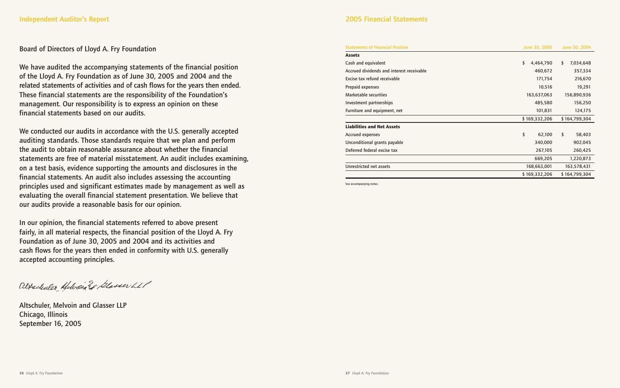# Board of Directors of Lloyd A. Fry Foundation

We have audited the accompanying statements of the financial position of the Lloyd A. Fry Foundation as of June 30, 2005 and 2004 and the related statements of activities and of cash flows for the years then ended. These financial statements are the responsibility of the Foundation's management. Our responsibility is to express an opinion on these financial statements based on our audits.

We conducted our audits in accordance with the U.S. generally accepted auditing standards. Those standards require that we plan and perform the audit to obtain reasonable assurance about whether the financial statements are free of material misstatement. An audit includes examining, on a test basis, evidence supporting the amounts and disclosures in the financial statements. An audit also includes assessing the accounting principles used and significant estimates made by management as well as evaluating the overall financial statement presentation. We believe that our audits provide a reasonable basis for our opinion.

In our opinion, the financial statements referred to above present fairly, in all material respects, the financial position of the Lloyd A. Fry Foundation as of June 30, 2005 and 2004 and its activities and cash flows for the years then ended in conformity with U.S. generally accepted accounting principles.

Altschuler Helvein El Glasser LLP

Altschuler, Melvoin and Glasser LLP Chicago, Illinois September 16, 2005

# 2005 Financial Statements

#### Statements of Financial Position

#### **Assets**

Cash and equivalent Accrued dividends and interest receivable Excise tax refund receivable Prepaid expenses Marketable securities Investment partnerships Furniture and equipment, net

#### **Liabilities and Net Assets**

Accrued expenses Unconditional grants payable Deferred federal excise tax

Unrestricted net assets

See accompanying notes.

| June 30, 2005   | June 30, 2004   |
|-----------------|-----------------|
|                 |                 |
| \$<br>4,464,790 | \$<br>7,034,648 |
| 460,672         | 357,334         |
| 171,754         | 216,670         |
| 10,516          | 19,291          |
| 163,637,063     | 156,890,936     |
| 485,580         | 156,250         |
| 101,831         | 124,175         |
| \$169,332,206   | \$164,799,304   |
|                 |                 |
| \$<br>62,100    | \$<br>58,403    |
| 340,000         | 902,045         |
| 267,105         | 260,425         |
| 669,205         | 1,220,873       |
| 168,663,001     | 163,578,431     |
| \$169,332,206   | \$164,799,304   |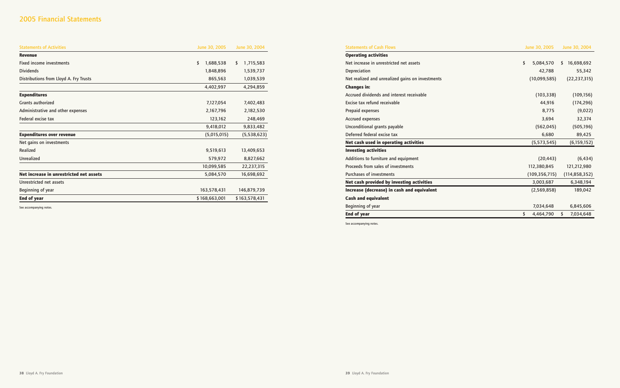| June 30, 2005   | June 30, 2004    |
|-----------------|------------------|
|                 |                  |
| \$<br>5,084,570 | \$<br>16,698,692 |
| 42,788          | 55,342           |
| (10,099,585)    | (22, 237, 315)   |
|                 |                  |
| (103, 338)      | (109, 156)       |
| 44,916          | (174, 296)       |
| 8,775           | (9,022)          |
| 3,694           | 32,374           |
| (562, 045)      | (505, 196)       |
| 6,680           | 89,425           |
| (5, 573, 545)   | (6, 159, 152)    |
|                 |                  |
| (20, 443)       | (6, 434)         |
| 112,380,845     | 121,212,980      |
| (109, 356, 715) | (114, 858, 352)  |
| 3,003,687       | 6,348,194        |
| (2,569,858)     | 189,042          |
|                 |                  |
| 7,034,648       | 6,845,606        |
| 4,464,790<br>\$ | \$<br>7,034,648  |

# 2005 Financial Statements

| <b>Statements of Activities</b>         | June 30, 2005   | June 30, 2004   |  |
|-----------------------------------------|-----------------|-----------------|--|
| <b>Revenue</b>                          |                 |                 |  |
| <b>Fixed income investments</b>         | \$<br>1,688,538 | \$<br>1,715,583 |  |
| <b>Dividends</b>                        | 1,848,896       | 1,539,737       |  |
| Distributions from Lloyd A. Fry Trusts  | 865,563         | 1,039,539       |  |
|                                         | 4,402,997       | 4,294,859       |  |
| <b>Expenditures</b>                     |                 |                 |  |
| <b>Grants authorized</b>                | 7,127,054       | 7,402,483       |  |
| Administrative and other expenses       | 2,167,796       | 2,182,530       |  |
| Federal excise tax                      | 123,162         | 248,469         |  |
|                                         | 9,418,012       | 9,833,482       |  |
| <b>Expenditures over revenue</b>        | (5,015,015)     | (5,538,623)     |  |
| Net gains on investments                |                 |                 |  |
| Realized                                | 9,519,613       | 13,409,653      |  |
| <b>Unrealized</b>                       | 579,972         | 8,827,662       |  |
|                                         | 10,099,585      | 22,237,315      |  |
| Net increase in unrestricted net assets | 5,084,570       | 16,698,692      |  |
| Unrestricted net assets                 |                 |                 |  |
| Beginning of year                       | 163,578,431     | 146,879,739     |  |
| <b>End of year</b>                      | \$168,663,001   | \$163,578,431   |  |

See accompanying notes.

Statements of Cash Flows **Operating activities** Net increase in unrestricted net assets Depreciation Net realized and unrealized gains on investments **Changes in:**  Accrued dividends and interest receivable Excise tax refund receivable Prepaid expenses Accrued expenses Unconditional grants payable Deferred federal excise tax **Net cash used in operating activities Investing activities** Additions to furniture and equipment Proceeds from sales of investments Purchases of investments **Net cash provided by investing activities Increase (decrease) in cash and equivalent Cash and equivalent** Beginning of year **End of year** See accompanying notes.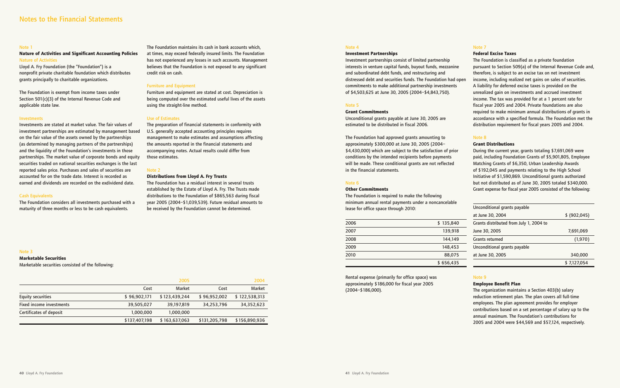#### Note 4

#### **Investment Partnerships**

Investment partnerships consist of limited partnership interests in venture capital funds, buyout funds, mezzanine and subordinated debt funds, and restructuring and distressed debt and securities funds. The Foundation had open commitments to make additional partnership investments of \$4,503,625 at June 30, 2005 (2004–\$4,843,750).

#### Note 5

#### **Grant Commitments**

Unconditional grants payable at June 30, 2005 are estimated to be distributed in fiscal 2006.

The Foundation had approved grants amounting to approximately \$300,000 at June 30, 2005 (2004– \$4,430,000) which are subject to the satisfaction of prior conditions by the intended recipients before payments will be made. These conditional grants are not reflected in the financial statements.

#### Note 6

#### **Other Commitments**

The Foundation is required to make the following minimum annual rental payments under a noncancelable lease for office space through 2010:

| 2006 | \$135,840 | G                      |
|------|-----------|------------------------|
| 2007 | 139,918   | Jι                     |
| 2008 | 144.149   | Ġ                      |
| 2009 | 148,453   | $\frac{1}{\mathsf{U}}$ |
| 2010 | 88,075    | a                      |
|      | \$656,435 |                        |

Rental expense (primarily for office space) was approximately \$186,000 for fiscal year 2005 (2004–\$186,000).

Note 7

Uncon .<br>Trants Jncon

# **Federal Excise Taxes**

The Foundation is classified as a private foundation pursuant to Section 509(a) of the Internal Revenue Code and, therefore, is subject to an excise tax on net investment income, including realized net gains on sales of securities. A liability for deferred excise taxes is provided on the unrealized gain on investments and accrued investment income. The tax was provided for at a 1 percent rate for fiscal year 2005 and 2004. Private foundations are also required to make minimum annual distributions of grants in accordance with a specified formula. The Foundation met the distribution requirement for fiscal years 2005 and 2004.

Note 8

## **Grant Distributions**

During the current year, grants totaling \$7,691,069 were paid, including Foundation Grants of \$5,901,805, Employee Matching Grants of \$6,350, Urban Leadership Awards of \$192,045 and payments relating to the High School Initiative of \$1,590,869. Unconditional grants authorized but not distributed as of June 30, 2005 totaled \$340,000. Grant expense for fiscal year 2005 consisted of the following:

| Unconditional grants payable            |              |
|-----------------------------------------|--------------|
| at June 30, 2004                        | \$ (902,045) |
| Grants distributed from July 1, 2004 to |              |
| June 30, 2005                           | 7,691,069    |
| <b>Grants returned</b>                  | (1,970)      |
| Unconditional grants payable            |              |
| at June 30, 2005                        | 340,000      |
|                                         | \$7,127,054  |

# Note 9

#### **Employee Benefit Plan**

The organization maintains a Section 403(b) salary reduction retirement plan. The plan covers all full-time employees. The plan agreement provides for employer contributions based on a set percentage of salary up to the annual maximum. The Foundation's contributions for 2005 and 2004 were \$44,569 and \$57,124, respectively.

#### Note 1

#### **Nature of Activities and Significant Accounting Policies** Nature of Activities

Lloyd A. Fry Foundation (the "Foundation") is a nonprofit private charitable foundation which distributes grants principally to charitable organizations.

The Foundation is exempt from income taxes under Section 501(c)(3) of the Internal Revenue Code and applicable state law.

#### Investments

Investments are stated at market value. The fair values of investment partnerships are estimated by management based on the fair value of the assets owned by the partnerships (as determined by managing partners of the partnerships) and the liquidity of the Foundation's investments in those partnerships. The market value of corporate bonds and equity securities traded on national securities exchanges is the last reported sales price. Purchases and sales of securities are accounted for on the trade date. Interest is recorded as earned and dividends are recorded on the exdividend date.

#### Cash Equivalents

The Foundation considers all investments purchased with a maturity of three months or less to be cash equivalents.

The Foundation maintains its cash in bank accounts which, at times, may exceed federally insured limits. The Foundation has not experienced any losses in such accounts. Management believes that the Foundation is not exposed to any significant credit risk on cash.

#### Furniture and Equipment

Furniture and equipment are stated at cost. Depreciation is being computed over the estimated useful lives of the assets using the straight-line method.

#### Use of Estimates

The preparation of financial statements in conformity with U.S. generally accepted accounting principles requires management to make estimates and assumptions affecting the amounts reported in the financial statements and accompanying notes. Actual results could differ from those estimates.

#### Note 2

#### **Distributions from Lloyd A. Fry Trusts**

The Foundation has a residual interest in several trusts established by the Estate of Lloyd A. Fry. The Trusts made distributions to the Foundation of \$865,563 during fiscal year 2005 (2004–\$1,039,539). Future residual amounts to be received by the Foundation cannot be determined.

#### Note 3

#### **Marketable Securities**

Marketable securities consisted of the following:

|                          |               | 2005          |               | 2004          |
|--------------------------|---------------|---------------|---------------|---------------|
|                          | Cost          | <b>Market</b> | Cost          | Market        |
| <b>Equity securities</b> | \$96,902,171  | \$123,439,244 | \$96,952,002  | \$122,538,313 |
| Fixed income investments | 39,505,027    | 39,197,819    | 34,253,796    | 34,352,623    |
| Certificates of deposit  | 1,000,000     | 1,000,000     |               |               |
|                          | \$137,407,198 | \$163,637,063 | \$131,205,798 | \$156,890,936 |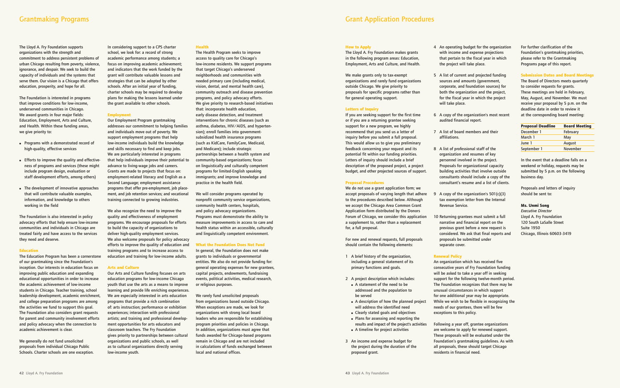The Lloyd A. Fry Foundation supports organizations with the strength and commitment to address persistent problems of urban Chicago resulting from poverty, violence, ignorance, and despair. We seek to build the capacity of individuals and the systems that serve them. Our vision is a Chicago that offers education, prosperity, and hope for all.

The Foundation is interested in programs that improve conditions for low-income, underserved communities in Chicago. We award grants in four major fields: Education, Employment, Arts and Culture, and Health. Within these funding areas, we give priority to:

- **●** Programs with a demonstrated record of high-quality, effective services
- **●** Efforts to improve the quality and effectiveness of programs and services (these might include program design, evaluation or staff development efforts, among others)
- **●** The development of innovative approaches that will contribute valuable examples, information, and knowledge to others working in the field

The Foundation is also interested in policy advocacy efforts that help ensure low-income communities and individuals in Chicago are treated fairly and have access to the services they need and deserve.

#### **Education**

The Education Program has been a cornerstone of our grantmaking since the Foundation's inception. Our interests in education focus on improving public education and expanding educational opportunities in order to increase the academic achievement of low-income students in Chicago. Teacher training, school leadership development, academic enrichment, and college preparation programs are among the activities we fund to support this goal. The Foundation also considers grant requests for parent and community involvement efforts and policy advocacy when the connection to academic achievement is clear.

We generally do not fund unsolicited proposals from individual Chicago Public Schools. Charter schools are one exception. In considering support to a CPS charter school, we look for: a record of strong academic performance among students; a focus on improving academic achievement; and indicators that the work funded by the grant will contribute valuable lessons and strategies that can be adopted by other schools. After an initial year of funding, charter schools may be required to develop plans for making the lessons learned under the grant available to other schools.

#### **Employment**

We will consider programs operated by nonprofit community service organizations, community health centers, hospitals, and policy advocacy organizations. Programs must demonstrate the ability to measure improvements in access to care and health status within an accessible, culturally and linguistically competent environment.

Our Employment Program grantmaking addresses our commitment to helping families and individuals move out of poverty. We support employment programs that help low-income individuals build the knowledge and skills necessary to find and keep jobs. We are particularly interested in programs that help individuals improve their potential to advance to living-wage jobs and careers. Grants are made to projects that focus on: employment-related literacy and English as a Second Language; employment assistance programs that offer pre-employment, job placement, and job retention services; and vocational training connected to growing industries.

We also recognize the need to improve the quality and effectiveness of employment programs. We encourage proposals for efforts to build the capacity of organizations to deliver high-quality employment services. We also welcome proposals for policy advocacy efforts to improve the quality of education and training programs and to increase access to education and training for low-income adults.

#### **Arts and Culture**

Our Arts and Culture funding focuses on arts education programs for low-income Chicago youth that use the arts as a means to improve learning and provide life enriching experiences. We are especially interested in arts education programs that provide a rich combination of: arts instruction; performance or exhibition experiences; interaction with professional artists; and training and professional development opportunities for arts educators and classroom teachers. The Fry Foundation gives priority to partnerships between cultural organizations and public schools, as well as to cultural organizations directly serving low-income youth.

#### **Health**

The Health Program seeks to improve access to quality care for Chicago's low-income residents. We support programs that target Chicago's underserved neighborhoods and communities with needed primary care (including medical, vision, dental, and mental health care), community outreach and disease prevention programs, and policy advocacy efforts. We give priority to research-based initiatives that: incorporate health education, early disease detection, and treatment interventions for chronic diseases (such as asthma, diabetes, HIV/AIDS, and hypertension); enroll families into governmentsubsidized health insurance programs (such as KidCare, FamilyCare, Medicaid, and Medicare); include strategic partnerships between a health system and community-based organizations; focus on linguistically and culturally competent programs for limited-English speaking immigrants; and improve knowledge and practice in the health field.

#### **What the Foundation Does Not Fund**

In general, the Foundation does not make grants to individuals or governmental entities. We also do not provide funding for: general operating expenses for new grantees, capital projects, endowments, fundraising events, political activities, medical research, or religious purposes.

We rarely fund unsolicited proposals from organizations based outside Chicago. When exceptions are made, we look for organizations with strong local board leaders who are responsible for establishing program priorities and policies in Chicago. In addition, organizations must agree that funds awarded for Chicago-based programs remain in Chicago and are not included in calculations of funds exchanged between local and national offices.

#### **How to Apply**

The Lloyd A. Fry Foundation makes grants in the following program areas: Education, Employment, Arts and Culture, and Health.

We make grants only to tax-exempt organizations and rarely fund organizations outside Chicago. We give priority to proposals for specific programs rather than for general operating support.

#### **Letters of Inquiry**

If you are seeking support for the first time or if you are a returning grantee seeking support for a new program, we highly recommend that you send us a letter of inquiry before you submit a full proposal. This would allow us to give you preliminary feedback concerning your request and its potential fit within our funding priorities. Letters of inquiry should include a brief description of the proposed project, a project budget, and other projected sources of support.

#### **Proposal Procedures**

We do not use a grant application form; we accept proposals of varying length that adhere to the procedures described below. Although we accept the Chicago Area Common Grant Application form distributed by the Donors Forum of Chicago, we consider this application a supplement to, rather than a replacement for, a full proposal.

For new and renewal requests, full proposals should contain the following elements:

- 1 A brief history of the organization, including a general statement of its primary functions and goals.
- 2 A project description which includes:
- **●** A statement of the need to be addressed and the population to be served
- **●** A description of how the planned project will address the identified need
- **●** Clearly stated goals and objectives **●** Plans for assessing and reporting the
- results and impact of the project's activities
- **●** A timeline for project activities
- 3 An income and expense budget for the project during the duration of the proposed grant.
- 4 An operating budget for the organization with income and expense projections that pertain to the fiscal year in which the project will take place.
- 5 A list of current and projected funding sources and amounts (government, corporate, and foundation sources) for both the organization and the project, for the fiscal year in which the project will take place.
- 6 A copy of the organization's most recent audited financial report.
- 7 A list of board members and their affiliations.
- 8 A list of professional staff of the organization and resumes of key personnel involved in the project. Proposals for organizational capacity building activities that involve outside consultants should include a copy of the consultant's resume and a list of clients.
- 9 A copy of the organization's 501(c)(3) tax exemption letter from the Internal Revenue Service.
- 10 Returning grantees must submit a full narrative and financial report on the previous grant before a new request is considered. We ask that final reports and proposals be submitted under separate cover.

#### **Renewal Policy**

An organization which has received five consecutive years of Fry Foundation funding will be asked to take a year off in seeking support for the following twelve-month period. The Foundation recognizes that there may be unusual circumstances in which support for one additional year may be appropriate. While we wish to be flexible in recognizing the needs of our grantees, there will be few exceptions to this policy.

Following a year off, grantee organizations are welcome to apply for renewed support. These proposals will be evaluated under the Foundation's grantmaking guidelines. As with all proposals, these should target Chicago residents in financial need.

For further clarification of the Foundation's grantmaking priorities, please refer to the Grantmaking Programs page of this report.

#### **Submission Dates and Board Meetings**

The Board of Directors meets quarterly to consider requests for grants. These meetings are held in February, May, August, and November. We must receive your proposal by 5 p.m. on the deadline date in order to review it at the corresponding board meeting:

| <b>Proposal Deadline</b> | <b>Board Meeting</b> |
|--------------------------|----------------------|
| December 1               | February             |
| March 1                  | May                  |
| June 1                   | August               |
| September 1              | November             |
|                          |                      |

In the event that a deadline falls on a weekend or holiday, requests may be submitted by 5 p.m. on the following business day.

Proposals and letters of inquiry should be sent to:

#### **Ms. Unmi Song**

*Executive Director* Lloyd A. Fry Foundation 120 South LaSalle Street Suite 1950 Chicago, Illinois 60603-3419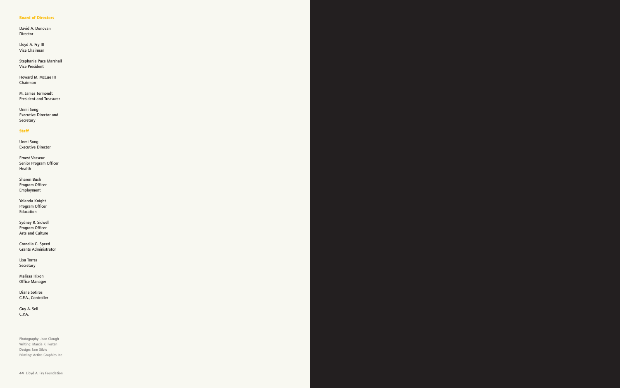#### **Board of Directors**

David A. Donovan Director

Lloyd A. Fry III Vice Chairman

Stephanie Pace Marshall Vice President

Howard M. McCue III Chairman

M. James Termondt President and Treasurer

Unmi Song Executive Director and Secretary

#### **Staff**

Unmi Song Executive Director

Ernest Vasseur Senior Program Officer Health

Sharon Bush Program Officer Employment

Yolanda Knight Program Officer Education

Sydney R. Sidwell Program Officer Arts and Culture

Cornelia G. Speed Grants Administrator

Lisa Torres Secretary

Melissa Hixon Office Manager

Diane Sotiros C.P.A., Controller

Guy A. Sell C.P.A.

Photography: Jean Clough Writing: Marcia K. Festen Design: Sam Silvio Printing: Active Graphics Inc